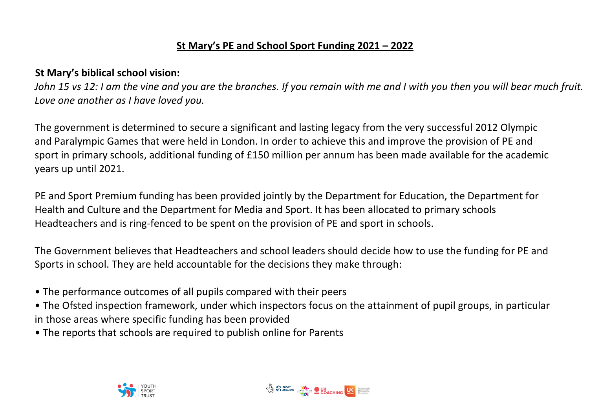## **St Mary's PE and School Sport Funding 2021 – 2022**

## **St Mary's biblical school vision:**

*John 15 vs 12: I am the vine and you are the branches. If you remain with me and I with you then you will bear much fruit. Love one another as I have loved you.*

The government is determined to secure a significant and lasting legacy from the very successful 2012 Olympic and Paralympic Games that were held in London. In order to achieve this and improve the provision of PE and sport in primary schools, additional funding of £150 million per annum has been made available for the academic years up until 2021.

PE and Sport Premium funding has been provided jointly by the Department for Education, the Department for Health and Culture and the Department for Media and Sport. It has been allocated to primary schools Headteachers and is ring-fenced to be spent on the provision of PE and sport in schools.

The Government believes that Headteachers and school leaders should decide how to use the funding for PE and Sports in school. They are held accountable for the decisions they make through:

- The performance outcomes of all pupils compared with their peers
- The Ofsted inspection framework, under which inspectors focus on the attainment of pupil groups, in particular in those areas where specific funding has been provided
- The reports that schools are required to publish online for Parents



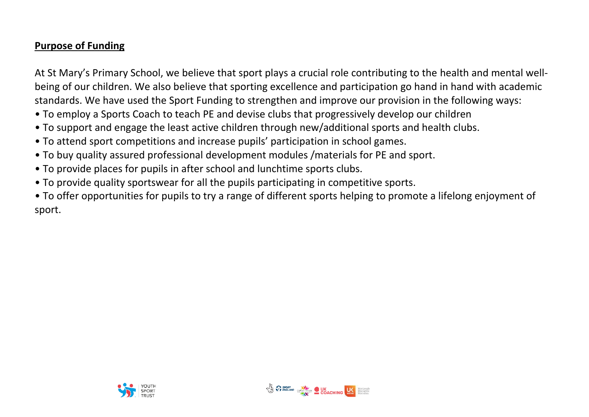## **Purpose of Funding**

At St Mary's Primary School, we believe that sport plays a crucial role contributing to the health and mental wellbeing of our children. We also believe that sporting excellence and participation go hand in hand with academic standards. We have used the Sport Funding to strengthen and improve our provision in the following ways:

- To employ a Sports Coach to teach PE and devise clubs that progressively develop our children
- To support and engage the least active children through new/additional sports and health clubs.
- To attend sport competitions and increase pupils' participation in school games.
- To buy quality assured professional development modules /materials for PE and sport.
- To provide places for pupils in after school and lunchtime sports clubs.
- To provide quality sportswear for all the pupils participating in competitive sports.

• To offer opportunities for pupils to try a range of different sports helping to promote a lifelong enjoyment of sport.



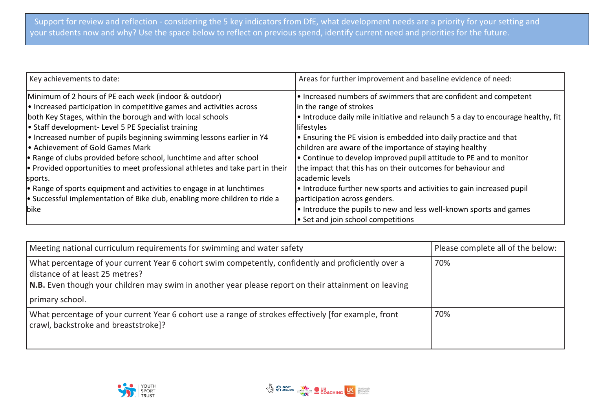| Key achievements to date:                                                             | Areas for further improvement and baseline evidence of need:                           |
|---------------------------------------------------------------------------------------|----------------------------------------------------------------------------------------|
| Minimum of 2 hours of PE each week (indoor & outdoor)                                 | $\cdot$ Increased numbers of swimmers that are confident and competent                 |
| $\cdot$ Increased participation in competitive games and activities across            | in the range of strokes                                                                |
| both Key Stages, within the borough and with local schools                            | $\cdot$ Introduce daily mile initiative and relaunch 5 a day to encourage healthy, fit |
| • Staff development- Level 5 PE Specialist training                                   | lifestyles                                                                             |
| $\cdot$ Increased number of pupils beginning swimming lessons earlier in Y4           | $\cdot$ Ensuring the PE vision is embedded into daily practice and that                |
| l• Achievement of Gold Games Mark                                                     | children are aware of the importance of staying healthy                                |
| • Range of clubs provided before school, lunchtime and after school                   | $\cdot$ Continue to develop improved pupil attitude to PE and to monitor               |
| $\bullet$ Provided opportunities to meet professional athletes and take part in their | the impact that this has on their outcomes for behaviour and                           |
| sports.                                                                               | lacademic levels                                                                       |
| $\cdot$ Range of sports equipment and activities to engage in at lunchtimes           | $\cdot$ Introduce further new sports and activities to gain increased pupil            |
| $\bullet$ Successful implementation of Bike club, enabling more children to ride a    | participation across genders.                                                          |
| bike                                                                                  | $\cdot$ Introduce the pupils to new and less well-known sports and games               |
|                                                                                       | $\bullet$ Set and join school competitions                                             |

| Meeting national curriculum requirements for swimming and water safety                                                                                                                                                                         | Please complete all of the below: |
|------------------------------------------------------------------------------------------------------------------------------------------------------------------------------------------------------------------------------------------------|-----------------------------------|
| What percentage of your current Year 6 cohort swim competently, confidently and proficiently over a<br>distance of at least 25 metres?<br>N.B. Even though your children may swim in another year please report on their attainment on leaving | 70%                               |
| primary school.                                                                                                                                                                                                                                |                                   |
| What percentage of your current Year 6 cohort use a range of strokes effectively [for example, front<br>crawl, backstroke and breaststroke]?                                                                                                   | 70%                               |



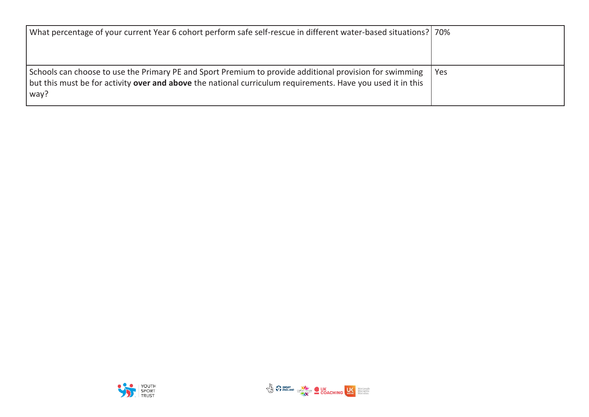| What percentage of your current Year 6 cohort perform safe self-rescue in different water-based situations?   70%                                                                                                              |     |
|--------------------------------------------------------------------------------------------------------------------------------------------------------------------------------------------------------------------------------|-----|
| Schools can choose to use the Primary PE and Sport Premium to provide additional provision for swimming<br>but this must be for activity over and above the national curriculum requirements. Have you used it in this<br>way? | Yes |



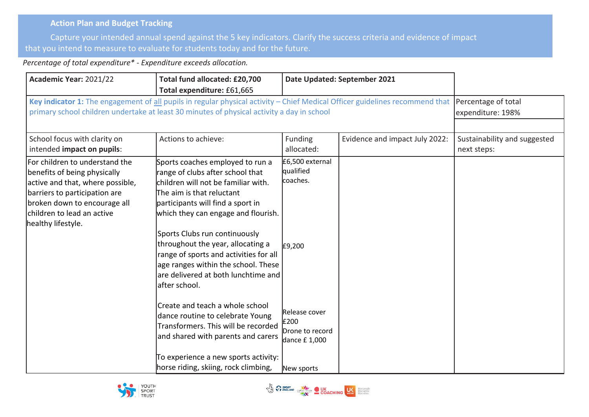## **Action Plan and Budget Tracking**

Capture your intended annual spend against the 5 key indicators. Clarify the success criteria and evidence of impact that you intend to measure to evaluate for students today and for the future.

*Percentage of total expenditure\* - Expenditure exceeds allocation.*

| Academic Year: 2021/22                                                                                                                                                                                                  | Total fund allocated: £20,700<br>Total expenditure: £61,665                                                                                                                                                                                                                                                                                                                                                                         | Date Updated: September 2021                                           |                                |                                             |
|-------------------------------------------------------------------------------------------------------------------------------------------------------------------------------------------------------------------------|-------------------------------------------------------------------------------------------------------------------------------------------------------------------------------------------------------------------------------------------------------------------------------------------------------------------------------------------------------------------------------------------------------------------------------------|------------------------------------------------------------------------|--------------------------------|---------------------------------------------|
|                                                                                                                                                                                                                         | Key indicator 1: The engagement of all pupils in regular physical activity - Chief Medical Officer guidelines recommend that<br>primary school children undertake at least 30 minutes of physical activity a day in school                                                                                                                                                                                                          |                                                                        |                                | Percentage of total<br>expenditure: 198%    |
| School focus with clarity on<br>intended impact on pupils:                                                                                                                                                              | Actions to achieve:                                                                                                                                                                                                                                                                                                                                                                                                                 | Funding<br>allocated:                                                  | Evidence and impact July 2022: | Sustainability and suggested<br>next steps: |
| For children to understand the<br>benefits of being physically<br>active and that, where possible,<br>barriers to participation are<br>broken down to encourage all<br>children to lead an active<br>healthy lifestyle. | Sports coaches employed to run a<br>range of clubs after school that<br>children will not be familiar with.<br>The aim is that reluctant<br>participants will find a sport in<br>which they can engage and flourish.<br>Sports Clubs run continuously<br>throughout the year, allocating a<br>range of sports and activities for all<br>age ranges within the school. These<br>are delivered at both lunchtime and<br>after school. | £6,500 external<br>qualified<br>coaches.<br>£9,200                     |                                |                                             |
|                                                                                                                                                                                                                         | Create and teach a whole school<br>dance routine to celebrate Young<br>Transformers. This will be recorded<br>and shared with parents and carers<br>To experience a new sports activity:<br>horse riding, skiing, rock climbing,                                                                                                                                                                                                    | Release cover<br>£200<br>Drone to record<br>dance £1,000<br>New sports |                                |                                             |



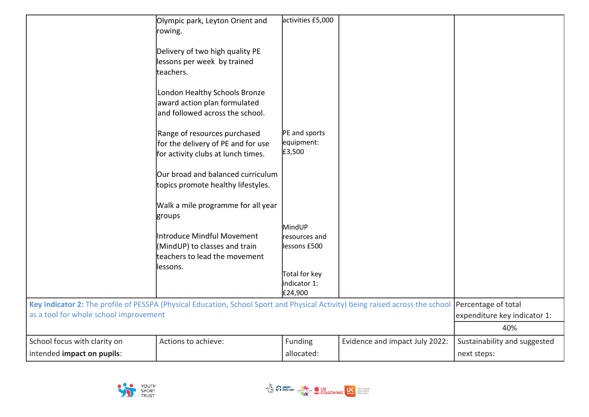|                                                                                                                                                                          | Olympic park, Leyton Orient and<br>rowing.                                                               | activities £5,000                        |                                |                                     |
|--------------------------------------------------------------------------------------------------------------------------------------------------------------------------|----------------------------------------------------------------------------------------------------------|------------------------------------------|--------------------------------|-------------------------------------|
|                                                                                                                                                                          | Delivery of two high quality PE<br>lessons per week by trained<br>teachers.                              |                                          |                                |                                     |
|                                                                                                                                                                          | London Healthy Schools Bronze<br>award action plan formulated<br>and followed across the school.         |                                          |                                |                                     |
|                                                                                                                                                                          | Range of resources purchased<br>for the delivery of PE and for use<br>for activity clubs at lunch times. | PE and sports<br>equipment:<br>£3,500    |                                |                                     |
|                                                                                                                                                                          | Our broad and balanced curriculum<br>topics promote healthy lifestyles.                                  |                                          |                                |                                     |
|                                                                                                                                                                          | Walk a mile programme for all year<br>groups                                                             |                                          |                                |                                     |
|                                                                                                                                                                          | Introduce Mindful Movement<br>(MindUP) to classes and train<br>teachers to lead the movement             | MindUP<br>resources and<br>lessons £500  |                                |                                     |
|                                                                                                                                                                          | lessons.                                                                                                 | Total for key<br>indicator 1:<br>£24,900 |                                |                                     |
| Key indicator 2: The profile of PESSPA (Physical Education, School Sport and Physical Activity) being raised across the school<br>as a tool for whole school improvement |                                                                                                          |                                          |                                | Percentage of total                 |
|                                                                                                                                                                          |                                                                                                          |                                          |                                | expenditure key indicator 1:<br>40% |
| School focus with clarity on                                                                                                                                             | Actions to achieve:                                                                                      | Funding                                  | Evidence and impact July 2022: | Sustainability and suggested        |
| intended impact on pupils:                                                                                                                                               |                                                                                                          | allocated:                               |                                | next steps:                         |



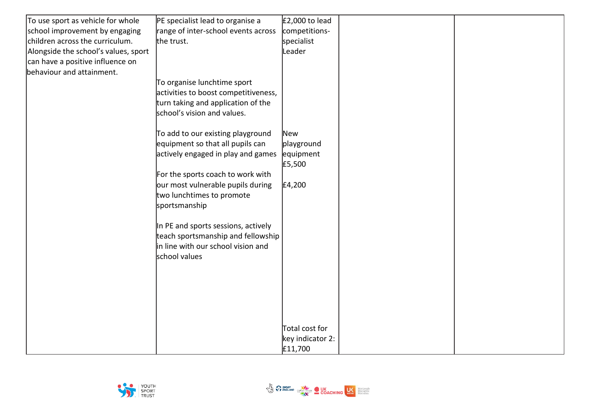| To use sport as vehicle for whole    | PE specialist lead to organise a     | $E$ 2,000 to lead |  |
|--------------------------------------|--------------------------------------|-------------------|--|
| school improvement by engaging       | range of inter-school events across  | competitions-     |  |
| children across the curriculum.      | the trust.                           | specialist        |  |
| Alongside the school's values, sport |                                      | Leader            |  |
| can have a positive influence on     |                                      |                   |  |
| behaviour and attainment.            |                                      |                   |  |
|                                      | To organise lunchtime sport          |                   |  |
|                                      | activities to boost competitiveness, |                   |  |
|                                      | turn taking and application of the   |                   |  |
|                                      | school's vision and values.          |                   |  |
|                                      |                                      |                   |  |
|                                      | To add to our existing playground    | New               |  |
|                                      | equipment so that all pupils can     | playground        |  |
|                                      | actively engaged in play and games   | equipment         |  |
|                                      |                                      | £5,500            |  |
|                                      | For the sports coach to work with    |                   |  |
|                                      | our most vulnerable pupils during    | £4,200            |  |
|                                      | two lunchtimes to promote            |                   |  |
|                                      | sportsmanship                        |                   |  |
|                                      | In PE and sports sessions, actively  |                   |  |
|                                      | teach sportsmanship and fellowship   |                   |  |
|                                      | in line with our school vision and   |                   |  |
|                                      | school values                        |                   |  |
|                                      |                                      |                   |  |
|                                      |                                      |                   |  |
|                                      |                                      |                   |  |
|                                      |                                      |                   |  |
|                                      |                                      |                   |  |
|                                      |                                      |                   |  |
|                                      |                                      | Total cost for    |  |
|                                      |                                      | key indicator 2:  |  |
|                                      |                                      | £11,700           |  |



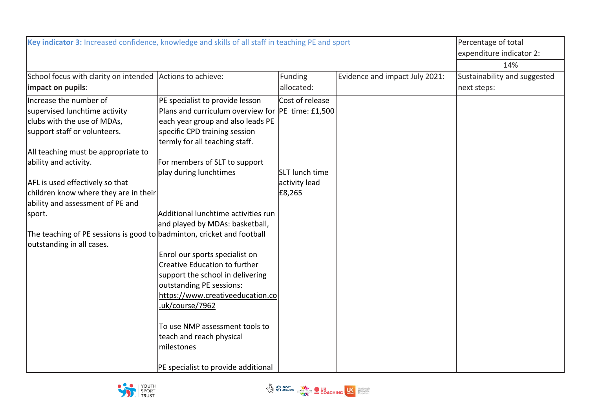| Key indicator 3: Increased confidence, knowledge and skills of all staff in teaching PE and sport | Percentage of total                               |                       |                                |                              |
|---------------------------------------------------------------------------------------------------|---------------------------------------------------|-----------------------|--------------------------------|------------------------------|
|                                                                                                   | expenditure indicator 2:                          |                       |                                |                              |
|                                                                                                   |                                                   |                       |                                | 14%                          |
| School focus with clarity on intended Actions to achieve:                                         |                                                   | Funding               | Evidence and impact July 2021: | Sustainability and suggested |
| impact on pupils:                                                                                 |                                                   | allocated:            |                                | next steps:                  |
| Increase the number of                                                                            | PE specialist to provide lesson                   | Cost of release       |                                |                              |
| supervised lunchtime activity                                                                     | Plans and curriculum overview for PE time: £1,500 |                       |                                |                              |
| clubs with the use of MDAs,                                                                       | each year group and also leads PE                 |                       |                                |                              |
| support staff or volunteers.                                                                      | specific CPD training session                     |                       |                                |                              |
|                                                                                                   | termly for all teaching staff.                    |                       |                                |                              |
| All teaching must be appropriate to                                                               |                                                   |                       |                                |                              |
| ability and activity.                                                                             | For members of SLT to support                     |                       |                                |                              |
|                                                                                                   | play during lunchtimes                            | <b>SLT</b> lunch time |                                |                              |
| AFL is used effectively so that                                                                   |                                                   | activity lead         |                                |                              |
| children know where they are in their                                                             |                                                   | £8,265                |                                |                              |
| ability and assessment of PE and                                                                  |                                                   |                       |                                |                              |
| sport.                                                                                            | Additional lunchtime activities run               |                       |                                |                              |
|                                                                                                   | and played by MDAs: basketball,                   |                       |                                |                              |
| The teaching of PE sessions is good to badminton, cricket and football                            |                                                   |                       |                                |                              |
| outstanding in all cases.                                                                         |                                                   |                       |                                |                              |
|                                                                                                   | Enrol our sports specialist on                    |                       |                                |                              |
|                                                                                                   | Creative Education to further                     |                       |                                |                              |
|                                                                                                   | support the school in delivering                  |                       |                                |                              |
|                                                                                                   | outstanding PE sessions:                          |                       |                                |                              |
|                                                                                                   | https://www.creativeeducation.co                  |                       |                                |                              |
|                                                                                                   | uk/course/7962                                    |                       |                                |                              |
|                                                                                                   |                                                   |                       |                                |                              |
|                                                                                                   | To use NMP assessment tools to                    |                       |                                |                              |
|                                                                                                   | teach and reach physical                          |                       |                                |                              |
|                                                                                                   | milestones                                        |                       |                                |                              |
|                                                                                                   |                                                   |                       |                                |                              |
|                                                                                                   | PE specialist to provide additional               |                       |                                |                              |



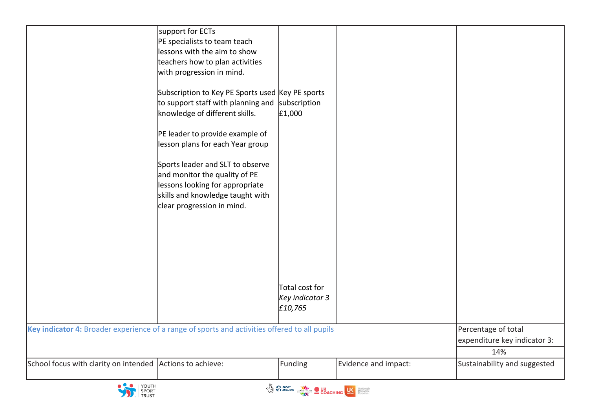| School focus with clarity on intended                                                         | Actions to achieve:                                                                                                                                                                                                                                                                                                                                                                    | Funding                                                | Evidence and impact: | 14%<br>Sustainability and suggested                 |
|-----------------------------------------------------------------------------------------------|----------------------------------------------------------------------------------------------------------------------------------------------------------------------------------------------------------------------------------------------------------------------------------------------------------------------------------------------------------------------------------------|--------------------------------------------------------|----------------------|-----------------------------------------------------|
|                                                                                               |                                                                                                                                                                                                                                                                                                                                                                                        |                                                        |                      | Percentage of total<br>expenditure key indicator 3: |
| Key indicator 4: Broader experience of a range of sports and activities offered to all pupils | Subscription to Key PE Sports used Key PE sports<br>to support staff with planning and subscription<br>knowledge of different skills.<br>PE leader to provide example of<br>lesson plans for each Year group<br>Sports leader and SLT to observe<br>and monitor the quality of PE<br>lessons looking for appropriate<br>skills and knowledge taught with<br>clear progression in mind. | £1,000<br>Total cost for<br>Key indicator 3<br>£10,765 |                      |                                                     |
|                                                                                               | support for ECTs<br>PE specialists to team teach<br>lessons with the aim to show<br>teachers how to plan activities<br>with progression in mind.                                                                                                                                                                                                                                       |                                                        |                      |                                                     |



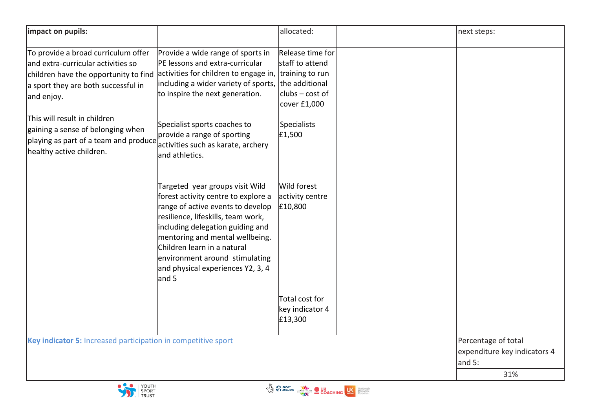| impact on pupils:                                                                                                                                                       |                                                                                                                                                                                                                                                                                                                                         | allocated:                                                               | next steps:                                                          |
|-------------------------------------------------------------------------------------------------------------------------------------------------------------------------|-----------------------------------------------------------------------------------------------------------------------------------------------------------------------------------------------------------------------------------------------------------------------------------------------------------------------------------------|--------------------------------------------------------------------------|----------------------------------------------------------------------|
| To provide a broad curriculum offer<br>and extra-curricular activities so<br>children have the opportunity to find<br>a sport they are both successful in<br>and enjoy. | Provide a wide range of sports in<br>PE lessons and extra-curricular<br>activities for children to engage in, training to run<br>including a wider variety of sports, the additional<br>to inspire the next generation.                                                                                                                 | Release time for<br>staff to attend<br>$clubs - cost of$<br>cover £1,000 |                                                                      |
| This will result in children<br>gaining a sense of belonging when<br>playing as part of a team and produce<br>healthy active children.                                  | Specialist sports coaches to<br>provide a range of sporting<br>activities such as karate, archery<br>and athletics.                                                                                                                                                                                                                     | <b>Specialists</b><br>£1,500                                             |                                                                      |
|                                                                                                                                                                         | Targeted year groups visit Wild<br>forest activity centre to explore a<br>range of active events to develop<br>resilience, lifeskills, team work,<br>including delegation guiding and<br>mentoring and mental wellbeing.<br>Children learn in a natural<br>environment around stimulating<br>and physical experiences Y2, 3, 4<br>and 5 | Wild forest<br>activity centre<br>£10,800                                |                                                                      |
|                                                                                                                                                                         |                                                                                                                                                                                                                                                                                                                                         | Total cost for<br>key indicator 4<br>£13,300                             |                                                                      |
| Key indicator 5: Increased participation in competitive sport                                                                                                           |                                                                                                                                                                                                                                                                                                                                         |                                                                          | Percentage of total<br>expenditure key indicators 4<br>and 5:<br>31% |

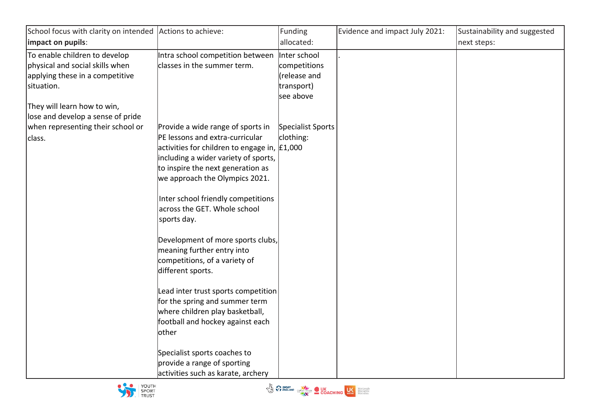| School focus with clarity on intended                                                                                                            | Actions to achieve:                                                                                                                                                                                                                                                                                                                                                                                            | Funding                                                 | Evidence and impact July 2021: | Sustainability and suggested |
|--------------------------------------------------------------------------------------------------------------------------------------------------|----------------------------------------------------------------------------------------------------------------------------------------------------------------------------------------------------------------------------------------------------------------------------------------------------------------------------------------------------------------------------------------------------------------|---------------------------------------------------------|--------------------------------|------------------------------|
| impact on pupils:                                                                                                                                |                                                                                                                                                                                                                                                                                                                                                                                                                | allocated:                                              |                                | next steps:                  |
| To enable children to develop<br>physical and social skills when<br>applying these in a competitive<br>situation.<br>They will learn how to win, | Intra school competition between  Inter school<br>classes in the summer term.                                                                                                                                                                                                                                                                                                                                  | competitions<br>(release and<br>transport)<br>see above |                                |                              |
| lose and develop a sense of pride<br>when representing their school or                                                                           | Provide a wide range of sports in                                                                                                                                                                                                                                                                                                                                                                              | Specialist Sports                                       |                                |                              |
| class.                                                                                                                                           | PE lessons and extra-curricular<br>activities for children to engage in, $£1,000$<br>including a wider variety of sports,<br>to inspire the next generation as<br>we approach the Olympics 2021.<br>Inter school friendly competitions<br>across the GET. Whole school<br>sports day.<br>Development of more sports clubs,<br>meaning further entry into<br>competitions, of a variety of<br>different sports. | clothing:                                               |                                |                              |
|                                                                                                                                                  | Lead inter trust sports competition<br>for the spring and summer term<br>where children play basketball,<br>football and hockey against each<br>lother<br>Specialist sports coaches to<br>provide a range of sporting                                                                                                                                                                                          |                                                         |                                |                              |
|                                                                                                                                                  | activities such as karate, archery                                                                                                                                                                                                                                                                                                                                                                             |                                                         |                                |                              |